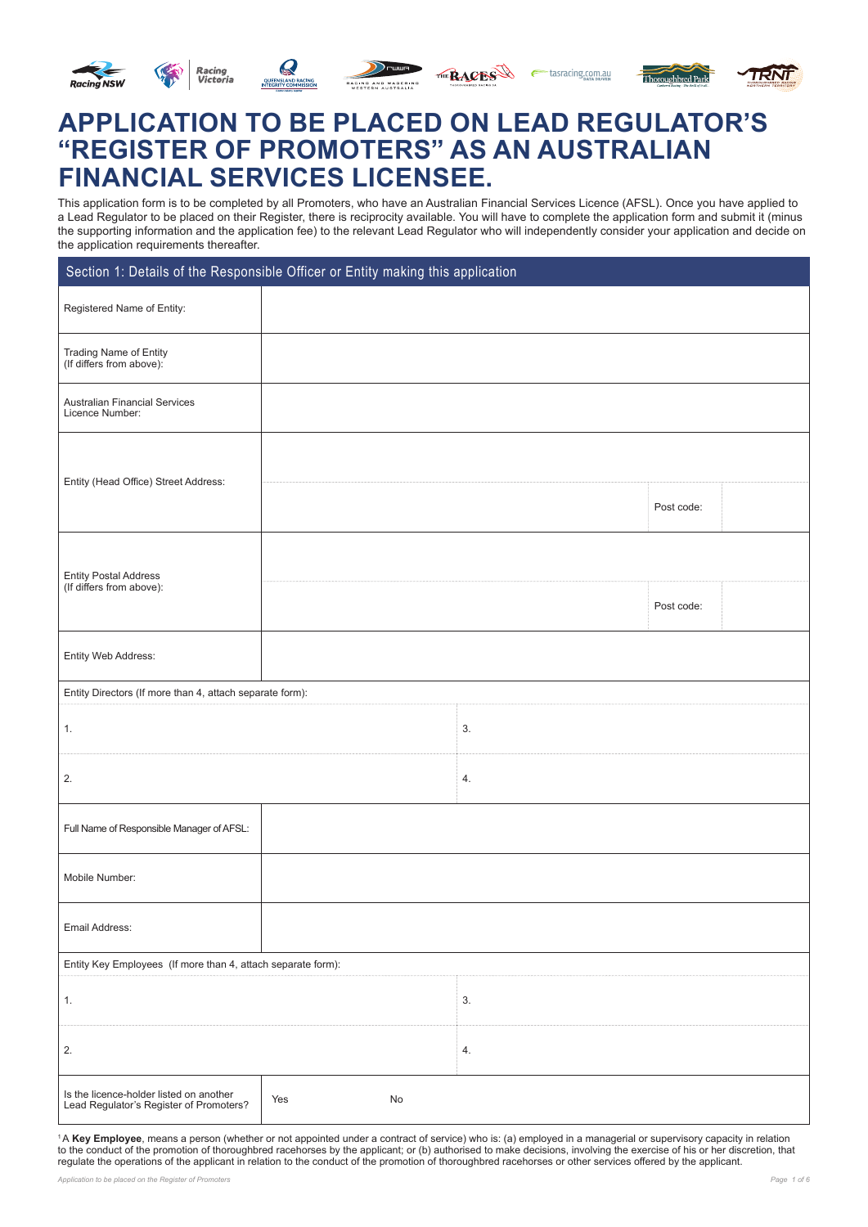





THE RACES etasracing.com.au



# **APPLICATION TO BE PLACED ON LEAD REGULATOR'S "REGISTER OF PROMOTERS" AS AN AUSTRALIAN FINANCIAL SERVICES LICENSEE.**

This application form is to be completed by all Promoters, who have an Australian Financial Services Licence (AFSL). Once you have applied to a Lead Regulator to be placed on their Register, there is reciprocity available. You will have to complete the application form and submit it (minus the supporting information and the application fee) to the relevant Lead Regulator who will independently consider your application and decide on the application requirements thereafter.

| Section 1: Details of the Responsible Officer or Entity making this application    |           |  |    |            |  |
|------------------------------------------------------------------------------------|-----------|--|----|------------|--|
| Registered Name of Entity:                                                         |           |  |    |            |  |
| Trading Name of Entity<br>(If differs from above):                                 |           |  |    |            |  |
| <b>Australian Financial Services</b><br>Licence Number:                            |           |  |    |            |  |
| Entity (Head Office) Street Address:                                               |           |  |    |            |  |
|                                                                                    |           |  |    | Post code: |  |
| <b>Entity Postal Address</b>                                                       |           |  |    |            |  |
| (If differs from above):                                                           |           |  |    | Post code: |  |
| Entity Web Address:                                                                |           |  |    |            |  |
| Entity Directors (If more than 4, attach separate form):                           |           |  |    |            |  |
| 1.                                                                                 |           |  | 3. |            |  |
| 2.                                                                                 |           |  | 4. |            |  |
| Full Name of Responsible Manager of AFSL:                                          |           |  |    |            |  |
| Mobile Number:                                                                     |           |  |    |            |  |
| Email Address:                                                                     |           |  |    |            |  |
| Entity Key Employees (If more than 4, attach separate form):                       |           |  |    |            |  |
| 1.                                                                                 |           |  | 3. |            |  |
| 2.                                                                                 |           |  | 4. |            |  |
| Is the licence-holder listed on another<br>Lead Regulator's Register of Promoters? | No<br>Yes |  |    |            |  |

<sup>1</sup>A Key Employee, means a person (whether or not appointed under a contract of service) who is: (a) employed in a managerial or supervisory capacity in relation to the conduct of the promotion of thoroughbred racehorses by the applicant; or (b) authorised to make decisions, involving the exercise of his or her discretion, that regulate the operations of the applicant in relation to the conduct of the promotion of thoroughbred racehorses or other services offered by the applicant.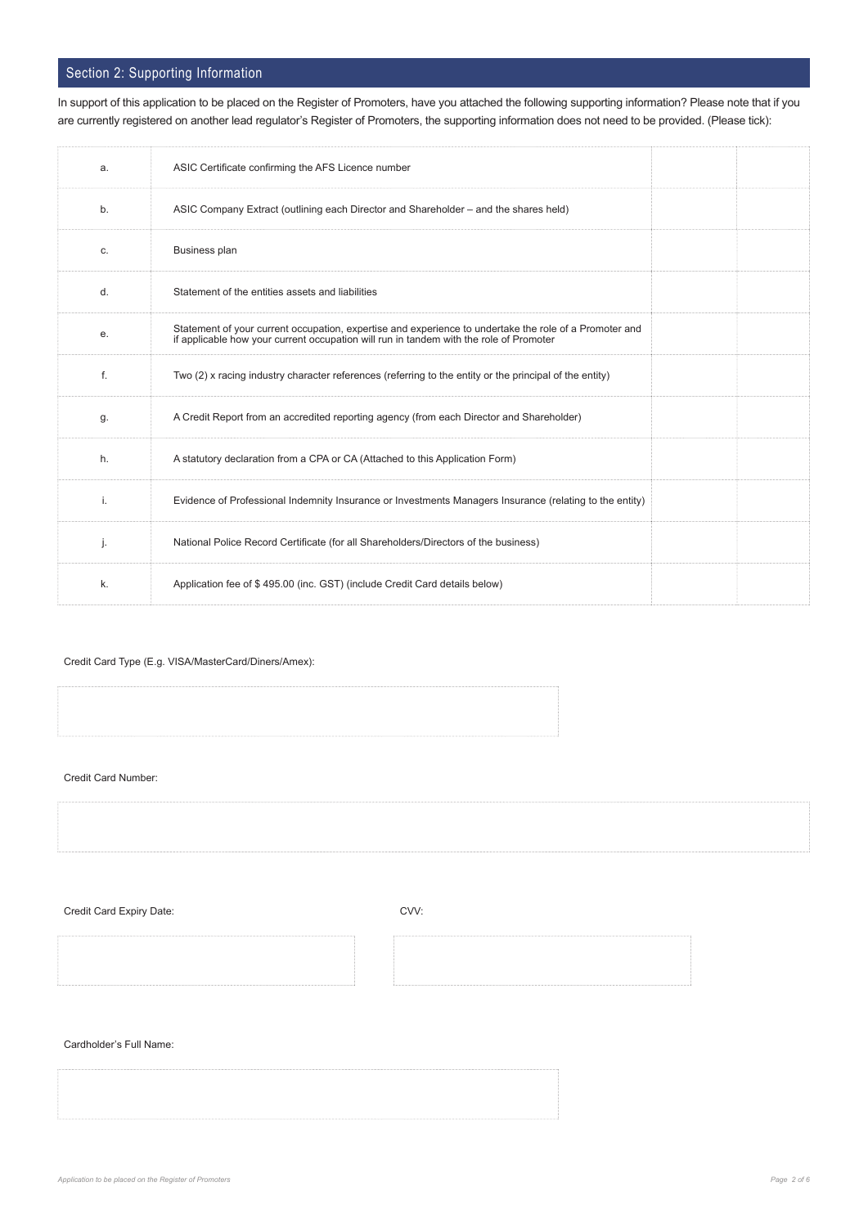## Section 2: Supporting Information

| a. | ASIC Certificate confirming the AFS Licence number                                                                                                                                               |
|----|--------------------------------------------------------------------------------------------------------------------------------------------------------------------------------------------------|
| b. | ASIC Company Extract (outlining each Director and Shareholder – and the shares held)                                                                                                             |
| C. | <b>Business plan</b>                                                                                                                                                                             |
| d. | Statement of the entities assets and liabilities                                                                                                                                                 |
| е. | Statement of your current occupation, expertise and experience to undertake the role of a Promoter and<br>if applicable how your current occupation will run in tandem with the role of Promoter |
| f. | Two (2) x racing industry character references (referring to the entity or the principal of the entity)                                                                                          |
| g. | A Credit Report from an accredited reporting agency (from each Director and Shareholder)                                                                                                         |
| h. | A statutory declaration from a CPA or CA (Attached to this Application Form)                                                                                                                     |
| i. | Evidence of Professional Indemnity Insurance or Investments Managers Insurance (relating to the entity)                                                                                          |
| j. | National Police Record Certificate (for all Shareholders/Directors of the business)                                                                                                              |
| k. | Application fee of \$495.00 (inc. GST) (include Credit Card details below)                                                                                                                       |

In support of this application to be placed on the Register of Promoters, have you attached the following supporting information? Please note that if you are currently registered on another lead regulator's Register of Promoters, the supporting information does not need to be provided. (Please tick):

### Credit Card Type (E.g. VISA/MasterCard/Diners/Amex):

Credit Card Number:

Credit Card Expiry Date: CVV:

Cardholder's Full Name: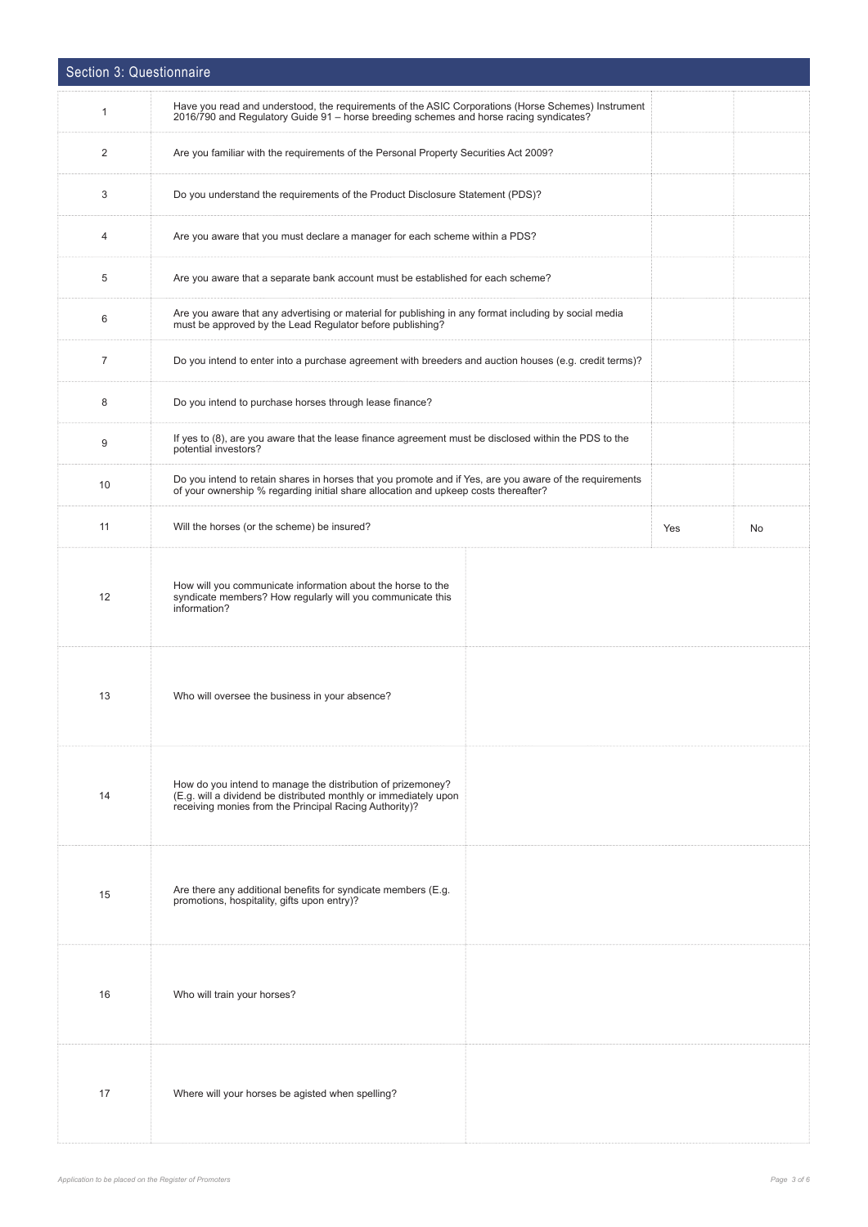| Section 3: Questionnaire |                                                                                                                                                                                                |     |           |  |
|--------------------------|------------------------------------------------------------------------------------------------------------------------------------------------------------------------------------------------|-----|-----------|--|
| $\mathbf{1}$             | Have you read and understood, the requirements of the ASIC Corporations (Horse Schemes) Instrument<br>2016/790 and Regulatory Guide 91 - horse breeding schemes and horse racing syndicates?   |     |           |  |
| $\overline{2}$           | Are you familiar with the requirements of the Personal Property Securities Act 2009?                                                                                                           |     |           |  |
| 3                        | Do you understand the requirements of the Product Disclosure Statement (PDS)?                                                                                                                  |     |           |  |
| 4                        | Are you aware that you must declare a manager for each scheme within a PDS?                                                                                                                    |     |           |  |
| 5                        | Are you aware that a separate bank account must be established for each scheme?                                                                                                                |     |           |  |
| 6                        | Are you aware that any advertising or material for publishing in any format including by social media<br>must be approved by the Lead Regulator before publishing?                             |     |           |  |
| $\overline{7}$           | Do you intend to enter into a purchase agreement with breeders and auction houses (e.g. credit terms)?                                                                                         |     |           |  |
| 8                        | Do you intend to purchase horses through lease finance?                                                                                                                                        |     |           |  |
| 9                        | If yes to (8), are you aware that the lease finance agreement must be disclosed within the PDS to the<br>potential investors?                                                                  |     |           |  |
| 10                       | Do you intend to retain shares in horses that you promote and if Yes, are you aware of the requirements<br>of your ownership % regarding initial share allocation and upkeep costs thereafter? |     |           |  |
| 11                       | Will the horses (or the scheme) be insured?                                                                                                                                                    | Yes | <b>No</b> |  |
| 12                       | How will you communicate information about the horse to the<br>syndicate members? How regularly will you communicate this<br>information?                                                      |     |           |  |
| 13                       | Who will oversee the business in your absence?                                                                                                                                                 |     |           |  |
| 14                       | How do you intend to manage the distribution of prizemoney?<br>(E.g. will a dividend be distributed monthly or immediately upon<br>receiving monies from the Principal Racing Authority)?      |     |           |  |
| 15                       | Are there any additional benefits for syndicate members (E.g.<br>promotions, hospitality, gifts upon entry)?                                                                                   |     |           |  |
| 16                       | Who will train your horses?                                                                                                                                                                    |     |           |  |
| 17                       | Where will your horses be agisted when spelling?                                                                                                                                               |     |           |  |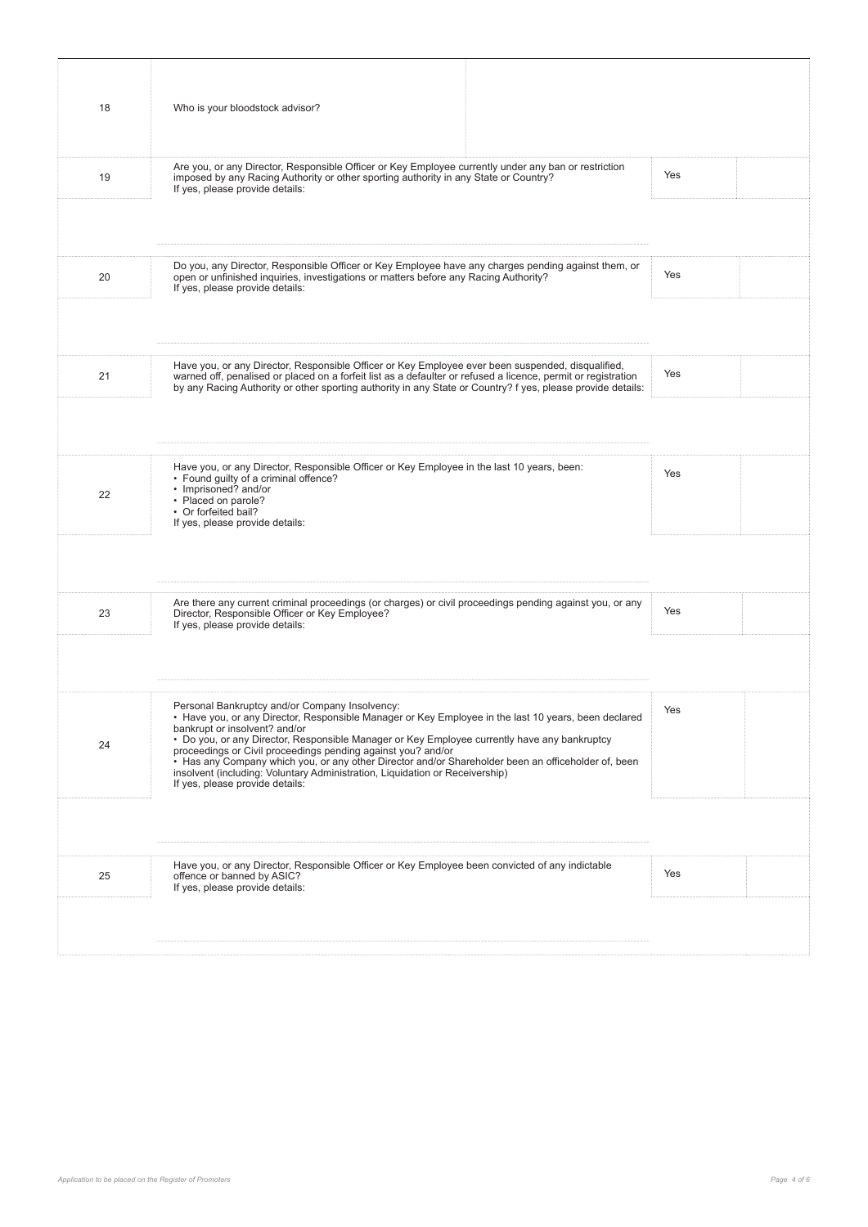| 18 | Who is your bloodstock advisor?                                                                                                                                                                                                                                                                                                                                                                                                                                                                                                                                                   |     |  |
|----|-----------------------------------------------------------------------------------------------------------------------------------------------------------------------------------------------------------------------------------------------------------------------------------------------------------------------------------------------------------------------------------------------------------------------------------------------------------------------------------------------------------------------------------------------------------------------------------|-----|--|
| 19 | Are you, or any Director, Responsible Officer or Key Employee currently under any ban or restriction<br>imposed by any Racing Authority or other sporting authority in any State or Country?<br>If yes, please provide details:                                                                                                                                                                                                                                                                                                                                                   | Yes |  |
|    |                                                                                                                                                                                                                                                                                                                                                                                                                                                                                                                                                                                   |     |  |
| 20 | Do you, any Director, Responsible Officer or Key Employee have any charges pending against them, or<br>open or unfinished inquiries, investigations or matters before any Racing Authority?<br>If yes, please provide details:                                                                                                                                                                                                                                                                                                                                                    | Yes |  |
|    |                                                                                                                                                                                                                                                                                                                                                                                                                                                                                                                                                                                   |     |  |
| 21 | Have you, or any Director, Responsible Officer or Key Employee ever been suspended, disqualified,<br>warned off, penalised or placed on a forfeit list as a defaulter or refused a licence, permit or registration<br>by any Racing Authority or other sporting authority in any State or Country? f yes, please provide details:                                                                                                                                                                                                                                                 | Yes |  |
|    |                                                                                                                                                                                                                                                                                                                                                                                                                                                                                                                                                                                   |     |  |
| 22 | Have you, or any Director, Responsible Officer or Key Employee in the last 10 years, been:<br>• Found guilty of a criminal offence?<br>• Imprisoned? and/or<br>• Placed on parole?<br>• Or forfeited bail?<br>If yes, please provide details:                                                                                                                                                                                                                                                                                                                                     | Yes |  |
|    |                                                                                                                                                                                                                                                                                                                                                                                                                                                                                                                                                                                   |     |  |
| 23 | Are there any current criminal proceedings (or charges) or civil proceedings pending against you, or any<br>Director, Responsible Officer or Key Employee?<br>If yes, please provide details:                                                                                                                                                                                                                                                                                                                                                                                     | Yes |  |
|    |                                                                                                                                                                                                                                                                                                                                                                                                                                                                                                                                                                                   |     |  |
| 24 | Personal Bankruptcy and/or Company Insolvency:<br>• Have you, or any Director, Responsible Manager or Key Employee in the last 10 years, been declared<br>bankrupt or insolvent? and/or<br>• Do you, or any Director, Responsible Manager or Key Employee currently have any bankruptcy<br>proceedings or Civil proceedings pending against you? and/or<br>• Has any Company which you, or any other Director and/or Shareholder been an officeholder of, been<br>insolvent (including: Voluntary Administration, Liquidation or Receivership)<br>If yes, please provide details: | Yes |  |
|    |                                                                                                                                                                                                                                                                                                                                                                                                                                                                                                                                                                                   |     |  |
| 25 | Have you, or any Director, Responsible Officer or Key Employee been convicted of any indictable<br>offence or banned by ASIC?<br>If yes, please provide details:                                                                                                                                                                                                                                                                                                                                                                                                                  | Yes |  |
|    |                                                                                                                                                                                                                                                                                                                                                                                                                                                                                                                                                                                   |     |  |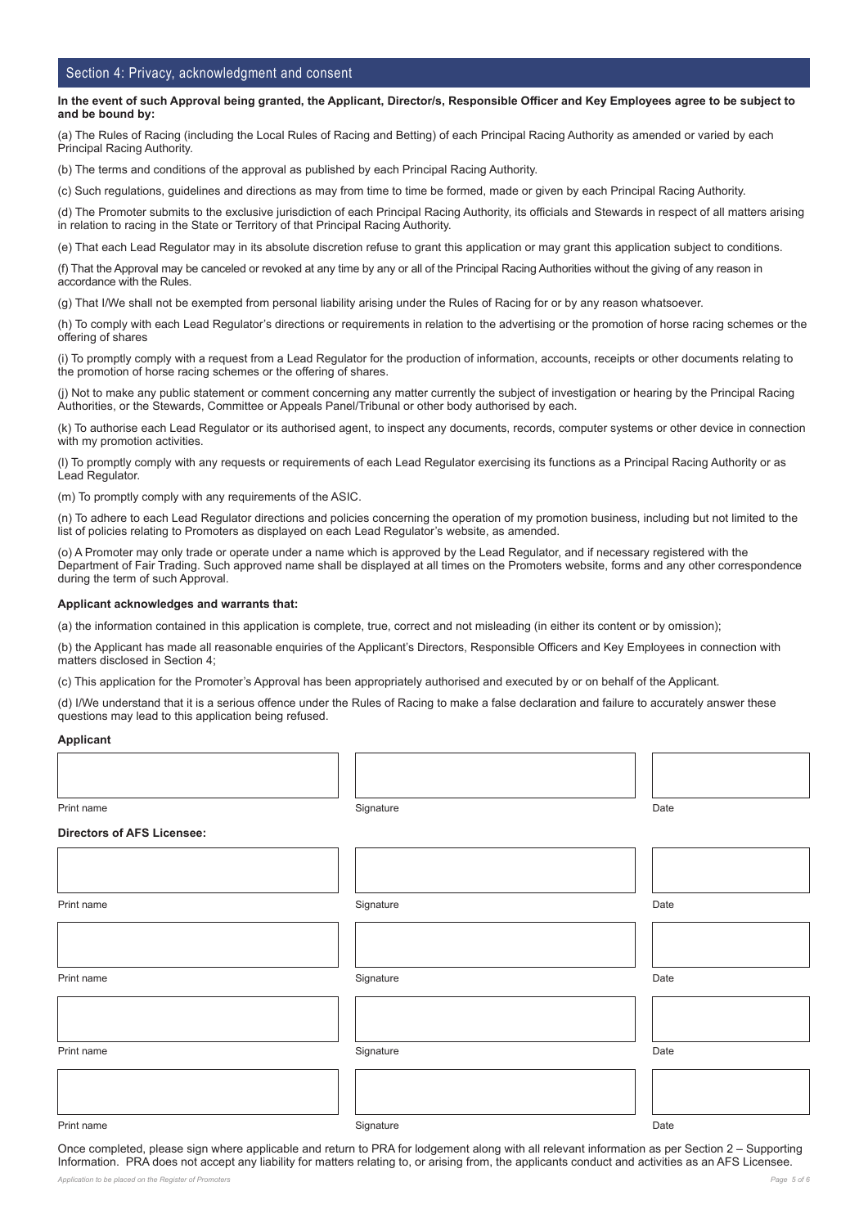### Section 4: Privacy, acknowledgment and consent

#### **In the event of such Approval being granted, the Applicant, Director/s, Responsible Officer and Key Employees agree to be subject to and be bound by:**

(a) The Rules of Racing (including the Local Rules of Racing and Betting) of each Principal Racing Authority as amended or varied by each Principal Racing Authority.

(b) The terms and conditions of the approval as published by each Principal Racing Authority.

(c) Such regulations, guidelines and directions as may from time to time be formed, made or given by each Principal Racing Authority.

(d) The Promoter submits to the exclusive jurisdiction of each Principal Racing Authority, its officials and Stewards in respect of all matters arising in relation to racing in the State or Territory of that Principal Racing Authority.

(e) That each Lead Regulator may in its absolute discretion refuse to grant this application or may grant this application subject to conditions.

(f) That the Approval may be canceled or revoked at any time by any or all of the Principal Racing Authorities without the giving of any reason in accordance with the Rules.

(g) That I/We shall not be exempted from personal liability arising under the Rules of Racing for or by any reason whatsoever.

(h) To comply with each Lead Regulator's directions or requirements in relation to the advertising or the promotion of horse racing schemes or the offering of shares

(i) To promptly comply with a request from a Lead Regulator for the production of information, accounts, receipts or other documents relating to the promotion of horse racing schemes or the offering of shares.

(j) Not to make any public statement or comment concerning any matter currently the subject of investigation or hearing by the Principal Racing Authorities, or the Stewards, Committee or Appeals Panel/Tribunal or other body authorised by each.

(k) To authorise each Lead Regulator or its authorised agent, to inspect any documents, records, computer systems or other device in connection with my promotion activities.

(l) To promptly comply with any requests or requirements of each Lead Regulator exercising its functions as a Principal Racing Authority or as Lead Regulator.

(m) To promptly comply with any requirements of the ASIC.

(n) To adhere to each Lead Regulator directions and policies concerning the operation of my promotion business, including but not limited to the list of policies relating to Promoters as displayed on each Lead Regulator's website, as amended.

(o) A Promoter may only trade or operate under a name which is approved by the Lead Regulator, and if necessary registered with the Department of Fair Trading. Such approved name shall be displayed at all times on the Promoters website, forms and any other correspondence during the term of such Approval.

#### **Applicant acknowledges and warrants that:**

(a) the information contained in this application is complete, true, correct and not misleading (in either its content or by omission);

(b) the Applicant has made all reasonable enquiries of the Applicant's Directors, Responsible Officers and Key Employees in connection with matters disclosed in Section 4;

(c) This application for the Promoter's Approval has been appropriately authorised and executed by or on behalf of the Applicant.

(d) I/We understand that it is a serious offence under the Rules of Racing to make a false declaration and failure to accurately answer these questions may lead to this application being refused.

#### **Applicant**

Print name Signature Date

#### **Directors of AFS Licensee:**

Print name Signature Date Print name Signature Date Print name Signature Date

Once completed, please sign where applicable and return to PRA for lodgement along with all relevant information as per Section 2 – Supporting Information. PRA does not accept any liability for matters relating to, or arising from, the applicants conduct and activities as an AFS Licensee.